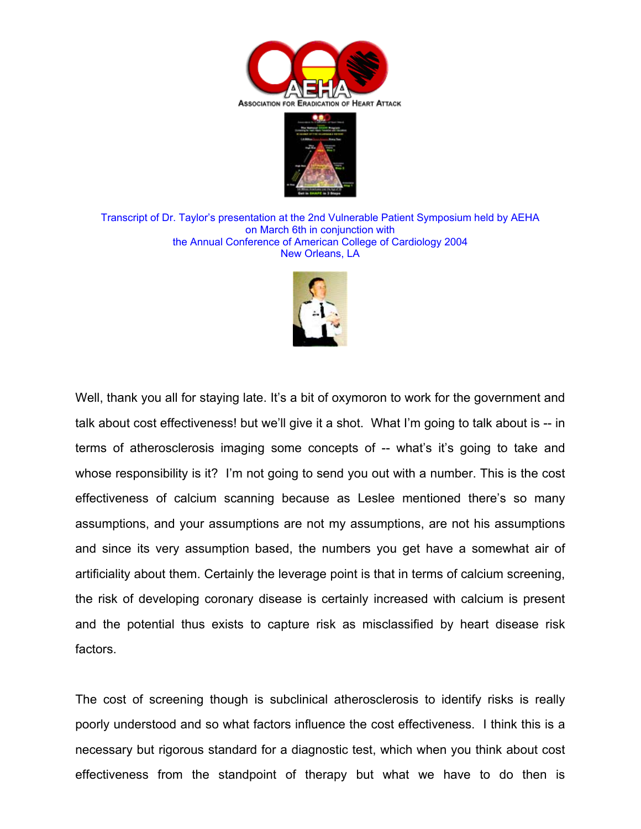



Transcript of Dr. Taylor's presentation at the 2nd Vulnerable Patient Symposium held by AEHA on March 6th in conjunction with the Annual Conference of American College of Cardiology 2004 New Orleans, LA



Well, thank you all for staying late. It's a bit of oxymoron to work for the government and talk about cost effectiveness! but we'll give it a shot. What I'm going to talk about is -- in terms of atherosclerosis imaging some concepts of -- what's it's going to take and whose responsibility is it? I'm not going to send you out with a number. This is the cost effectiveness of calcium scanning because as Leslee mentioned there's so many assumptions, and your assumptions are not my assumptions, are not his assumptions and since its very assumption based, the numbers you get have a somewhat air of artificiality about them. Certainly the leverage point is that in terms of calcium screening, the risk of developing coronary disease is certainly increased with calcium is present and the potential thus exists to capture risk as misclassified by heart disease risk factors.

The cost of screening though is subclinical atherosclerosis to identify risks is really poorly understood and so what factors influence the cost effectiveness. I think this is a necessary but rigorous standard for a diagnostic test, which when you think about cost effectiveness from the standpoint of therapy but what we have to do then is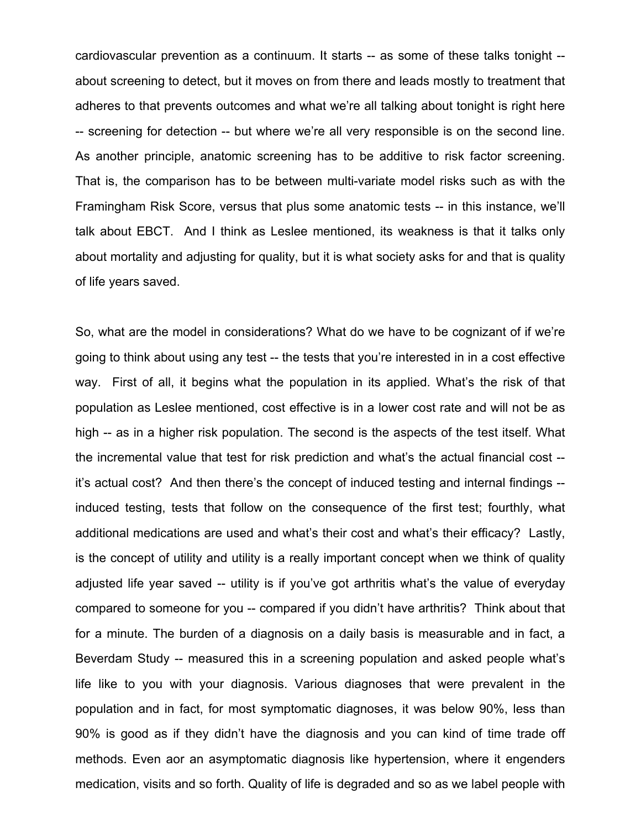cardiovascular prevention as a continuum. It starts -- as some of these talks tonight - about screening to detect, but it moves on from there and leads mostly to treatment that adheres to that prevents outcomes and what we're all talking about tonight is right here -- screening for detection -- but where we're all very responsible is on the second line. As another principle, anatomic screening has to be additive to risk factor screening. That is, the comparison has to be between multi-variate model risks such as with the Framingham Risk Score, versus that plus some anatomic tests -- in this instance, we'll talk about EBCT. And I think as Leslee mentioned, its weakness is that it talks only about mortality and adjusting for quality, but it is what society asks for and that is quality of life years saved.

So, what are the model in considerations? What do we have to be cognizant of if we're going to think about using any test -- the tests that you're interested in in a cost effective way. First of all, it begins what the population in its applied. What's the risk of that population as Leslee mentioned, cost effective is in a lower cost rate and will not be as high -- as in a higher risk population. The second is the aspects of the test itself. What the incremental value that test for risk prediction and what's the actual financial cost - it's actual cost? And then there's the concept of induced testing and internal findings - induced testing, tests that follow on the consequence of the first test; fourthly, what additional medications are used and what's their cost and what's their efficacy? Lastly, is the concept of utility and utility is a really important concept when we think of quality adjusted life year saved -- utility is if you've got arthritis what's the value of everyday compared to someone for you -- compared if you didn't have arthritis? Think about that for a minute. The burden of a diagnosis on a daily basis is measurable and in fact, a Beverdam Study -- measured this in a screening population and asked people what's life like to you with your diagnosis. Various diagnoses that were prevalent in the population and in fact, for most symptomatic diagnoses, it was below 90%, less than 90% is good as if they didn't have the diagnosis and you can kind of time trade off methods. Even aor an asymptomatic diagnosis like hypertension, where it engenders medication, visits and so forth. Quality of life is degraded and so as we label people with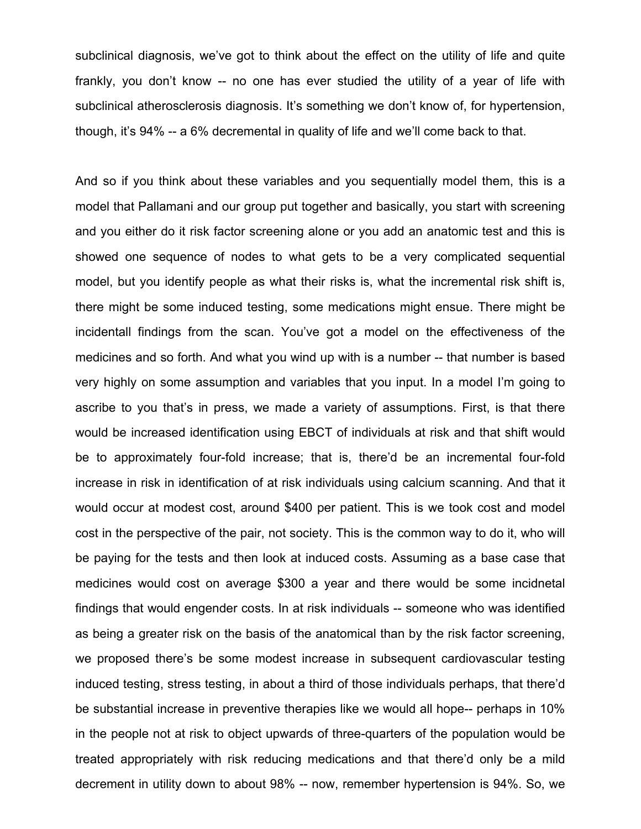subclinical diagnosis, we've got to think about the effect on the utility of life and quite frankly, you don't know -- no one has ever studied the utility of a year of life with subclinical atherosclerosis diagnosis. It's something we don't know of, for hypertension, though, it's 94% -- a 6% decremental in quality of life and we'll come back to that.

And so if you think about these variables and you sequentially model them, this is a model that Pallamani and our group put together and basically, you start with screening and you either do it risk factor screening alone or you add an anatomic test and this is showed one sequence of nodes to what gets to be a very complicated sequential model, but you identify people as what their risks is, what the incremental risk shift is, there might be some induced testing, some medications might ensue. There might be incidentall findings from the scan. You've got a model on the effectiveness of the medicines and so forth. And what you wind up with is a number -- that number is based very highly on some assumption and variables that you input. In a model I'm going to ascribe to you that's in press, we made a variety of assumptions. First, is that there would be increased identification using EBCT of individuals at risk and that shift would be to approximately four-fold increase; that is, there'd be an incremental four-fold increase in risk in identification of at risk individuals using calcium scanning. And that it would occur at modest cost, around \$400 per patient. This is we took cost and model cost in the perspective of the pair, not society. This is the common way to do it, who will be paying for the tests and then look at induced costs. Assuming as a base case that medicines would cost on average \$300 a year and there would be some incidnetal findings that would engender costs. In at risk individuals -- someone who was identified as being a greater risk on the basis of the anatomical than by the risk factor screening, we proposed there's be some modest increase in subsequent cardiovascular testing induced testing, stress testing, in about a third of those individuals perhaps, that there'd be substantial increase in preventive therapies like we would all hope-- perhaps in 10% in the people not at risk to object upwards of three-quarters of the population would be treated appropriately with risk reducing medications and that there'd only be a mild decrement in utility down to about 98% -- now, remember hypertension is 94%. So, we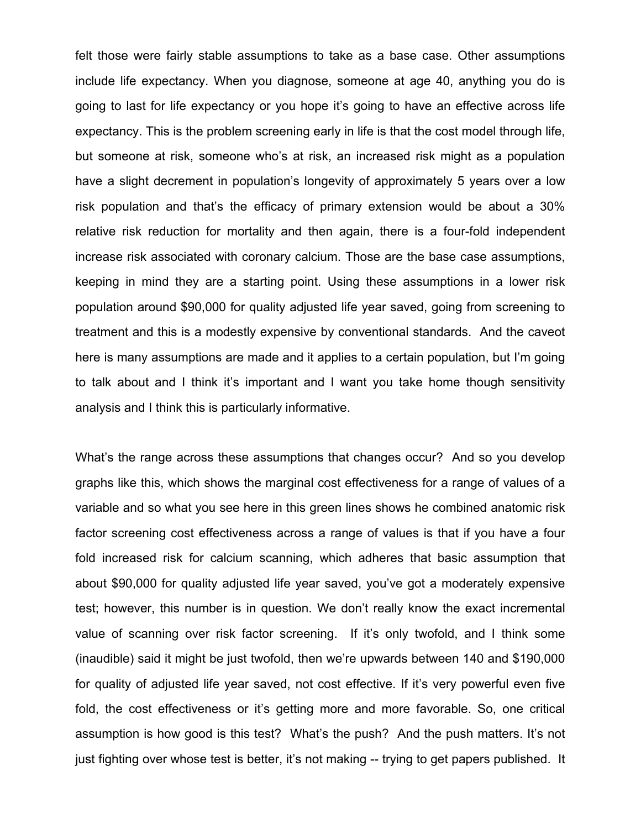felt those were fairly stable assumptions to take as a base case. Other assumptions include life expectancy. When you diagnose, someone at age 40, anything you do is going to last for life expectancy or you hope it's going to have an effective across life expectancy. This is the problem screening early in life is that the cost model through life, but someone at risk, someone who's at risk, an increased risk might as a population have a slight decrement in population's longevity of approximately 5 years over a low risk population and that's the efficacy of primary extension would be about a 30% relative risk reduction for mortality and then again, there is a four-fold independent increase risk associated with coronary calcium. Those are the base case assumptions, keeping in mind they are a starting point. Using these assumptions in a lower risk population around \$90,000 for quality adjusted life year saved, going from screening to treatment and this is a modestly expensive by conventional standards. And the caveot here is many assumptions are made and it applies to a certain population, but I'm going to talk about and I think it's important and I want you take home though sensitivity analysis and I think this is particularly informative.

What's the range across these assumptions that changes occur? And so you develop graphs like this, which shows the marginal cost effectiveness for a range of values of a variable and so what you see here in this green lines shows he combined anatomic risk factor screening cost effectiveness across a range of values is that if you have a four fold increased risk for calcium scanning, which adheres that basic assumption that about \$90,000 for quality adjusted life year saved, you've got a moderately expensive test; however, this number is in question. We don't really know the exact incremental value of scanning over risk factor screening. If it's only twofold, and I think some (inaudible) said it might be just twofold, then we're upwards between 140 and \$190,000 for quality of adjusted life year saved, not cost effective. If it's very powerful even five fold, the cost effectiveness or it's getting more and more favorable. So, one critical assumption is how good is this test? What's the push? And the push matters. It's not just fighting over whose test is better, it's not making -- trying to get papers published. It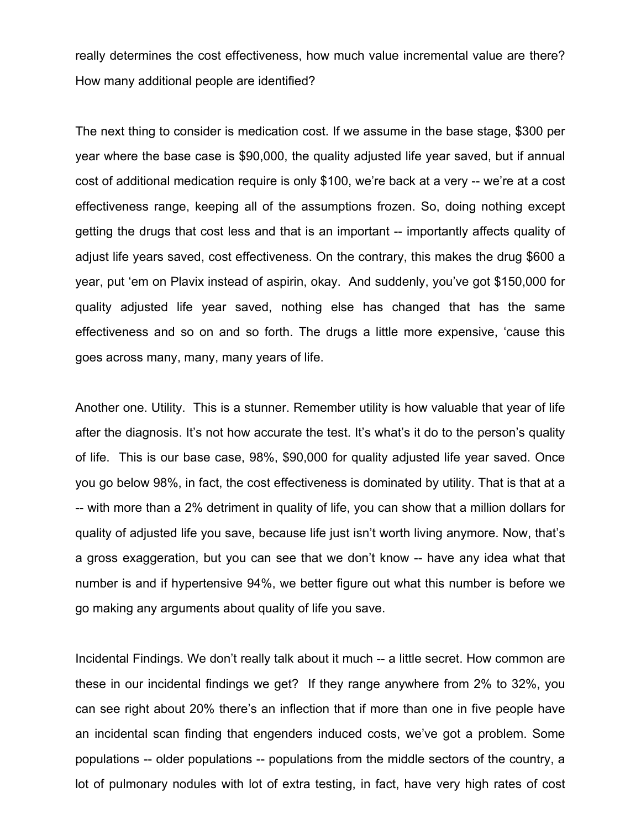really determines the cost effectiveness, how much value incremental value are there? How many additional people are identified?

The next thing to consider is medication cost. If we assume in the base stage, \$300 per year where the base case is \$90,000, the quality adjusted life year saved, but if annual cost of additional medication require is only \$100, we're back at a very -- we're at a cost effectiveness range, keeping all of the assumptions frozen. So, doing nothing except getting the drugs that cost less and that is an important -- importantly affects quality of adjust life years saved, cost effectiveness. On the contrary, this makes the drug \$600 a year, put 'em on Plavix instead of aspirin, okay. And suddenly, you've got \$150,000 for quality adjusted life year saved, nothing else has changed that has the same effectiveness and so on and so forth. The drugs a little more expensive, 'cause this goes across many, many, many years of life.

Another one. Utility. This is a stunner. Remember utility is how valuable that year of life after the diagnosis. It's not how accurate the test. It's what's it do to the person's quality of life. This is our base case, 98%, \$90,000 for quality adjusted life year saved. Once you go below 98%, in fact, the cost effectiveness is dominated by utility. That is that at a -- with more than a 2% detriment in quality of life, you can show that a million dollars for quality of adjusted life you save, because life just isn't worth living anymore. Now, that's a gross exaggeration, but you can see that we don't know -- have any idea what that number is and if hypertensive 94%, we better figure out what this number is before we go making any arguments about quality of life you save.

Incidental Findings. We don't really talk about it much -- a little secret. How common are these in our incidental findings we get? If they range anywhere from 2% to 32%, you can see right about 20% there's an inflection that if more than one in five people have an incidental scan finding that engenders induced costs, we've got a problem. Some populations -- older populations -- populations from the middle sectors of the country, a lot of pulmonary nodules with lot of extra testing, in fact, have very high rates of cost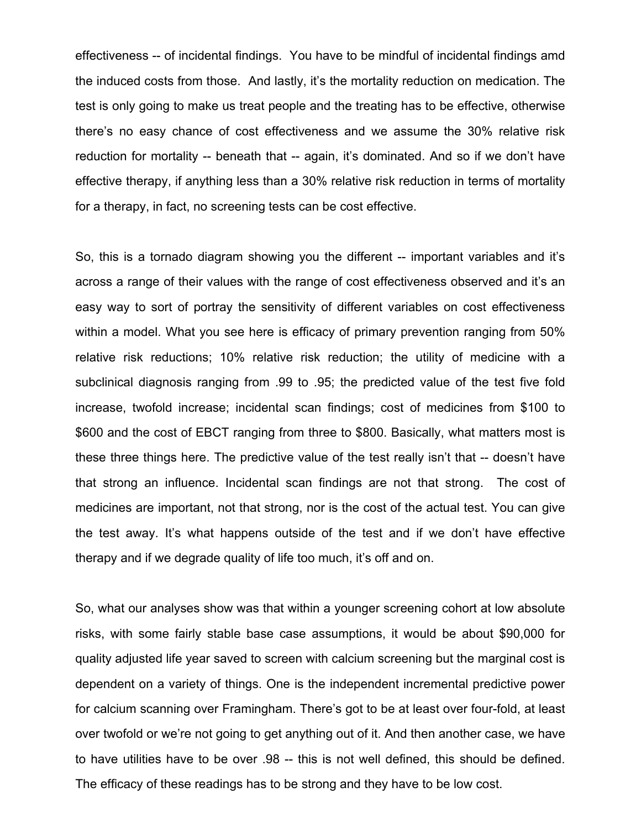effectiveness -- of incidental findings. You have to be mindful of incidental findings amd the induced costs from those. And lastly, it's the mortality reduction on medication. The test is only going to make us treat people and the treating has to be effective, otherwise there's no easy chance of cost effectiveness and we assume the 30% relative risk reduction for mortality -- beneath that -- again, it's dominated. And so if we don't have effective therapy, if anything less than a 30% relative risk reduction in terms of mortality for a therapy, in fact, no screening tests can be cost effective.

So, this is a tornado diagram showing you the different -- important variables and it's across a range of their values with the range of cost effectiveness observed and it's an easy way to sort of portray the sensitivity of different variables on cost effectiveness within a model. What you see here is efficacy of primary prevention ranging from 50% relative risk reductions; 10% relative risk reduction; the utility of medicine with a subclinical diagnosis ranging from .99 to .95; the predicted value of the test five fold increase, twofold increase; incidental scan findings; cost of medicines from \$100 to \$600 and the cost of EBCT ranging from three to \$800. Basically, what matters most is these three things here. The predictive value of the test really isn't that -- doesn't have that strong an influence. Incidental scan findings are not that strong. The cost of medicines are important, not that strong, nor is the cost of the actual test. You can give the test away. It's what happens outside of the test and if we don't have effective therapy and if we degrade quality of life too much, it's off and on.

So, what our analyses show was that within a younger screening cohort at low absolute risks, with some fairly stable base case assumptions, it would be about \$90,000 for quality adjusted life year saved to screen with calcium screening but the marginal cost is dependent on a variety of things. One is the independent incremental predictive power for calcium scanning over Framingham. There's got to be at least over four-fold, at least over twofold or we're not going to get anything out of it. And then another case, we have to have utilities have to be over .98 -- this is not well defined, this should be defined. The efficacy of these readings has to be strong and they have to be low cost.